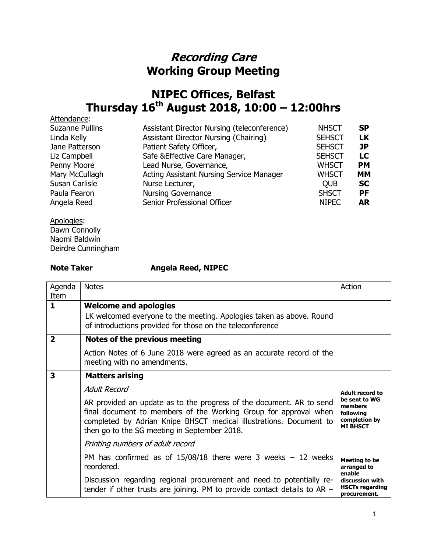## **Recording Care Working Group Meeting**

## **NIPEC Offices, Belfast Thursday 16th August 2018, 10:00 – 12:00hrs**

| Attendance:            |                                             |               |           |
|------------------------|---------------------------------------------|---------------|-----------|
| <b>Suzanne Pullins</b> | Assistant Director Nursing (teleconference) | <b>NHSCT</b>  | <b>SP</b> |
| Linda Kelly            | Assistant Director Nursing (Chairing)       | <b>SEHSCT</b> | LK        |
| Jane Patterson         | Patient Safety Officer,                     | <b>SEHSCT</b> | JP        |
| Liz Campbell           | Safe & Effective Care Manager,              | <b>SEHSCT</b> | LC        |
| Penny Moore            | Lead Nurse, Governance,                     | <b>WHSCT</b>  | <b>PM</b> |
| Mary McCullagh         | Acting Assistant Nursing Service Manager    | <b>WHSCT</b>  | <b>MM</b> |
| Susan Carlisle         | Nurse Lecturer,                             | <b>OUB</b>    | <b>SC</b> |
| Paula Fearon           | <b>Nursing Governance</b>                   | <b>SHSCT</b>  | <b>PF</b> |
| Angela Reed            | Senior Professional Officer                 | <b>NIPEC</b>  | <b>AR</b> |
|                        |                                             |               |           |

Apologies: Dawn Connolly Naomi Baldwin Deirdre Cunningham

## **Note Taker Angela Reed, NIPEC**

| Agenda<br>Item | <b>Notes</b>                                                                                                                                                                                                                                                   | Action                                                                    |
|----------------|----------------------------------------------------------------------------------------------------------------------------------------------------------------------------------------------------------------------------------------------------------------|---------------------------------------------------------------------------|
| 1              | <b>Welcome and apologies</b>                                                                                                                                                                                                                                   |                                                                           |
|                | LK welcomed everyone to the meeting. Apologies taken as above. Round<br>of introductions provided for those on the teleconference                                                                                                                              |                                                                           |
| $\mathbf{2}$   | Notes of the previous meeting                                                                                                                                                                                                                                  |                                                                           |
|                | Action Notes of 6 June 2018 were agreed as an accurate record of the<br>meeting with no amendments.                                                                                                                                                            |                                                                           |
| 3              | <b>Matters arising</b>                                                                                                                                                                                                                                         |                                                                           |
|                | Adult Record                                                                                                                                                                                                                                                   | Adult record to                                                           |
|                | AR provided an update as to the progress of the document. AR to send<br>final document to members of the Working Group for approval when<br>completed by Adrian Knipe BHSCT medical illustrations. Document to<br>then go to the SG meeting in September 2018. | be sent to WG<br>members<br>following<br>completion by<br><b>MI BHSCT</b> |
|                | Printing numbers of adult record                                                                                                                                                                                                                               |                                                                           |
|                | PM has confirmed as of $15/08/18$ there were 3 weeks - 12 weeks<br>reordered.                                                                                                                                                                                  | <b>Meeting to be</b><br>arranged to                                       |
|                | Discussion regarding regional procurement and need to potentially re-<br>tender if other trusts are joining. PM to provide contact details to $AR -$                                                                                                           | enable<br>discussion with<br><b>HSCTs regarding</b><br>procurement.       |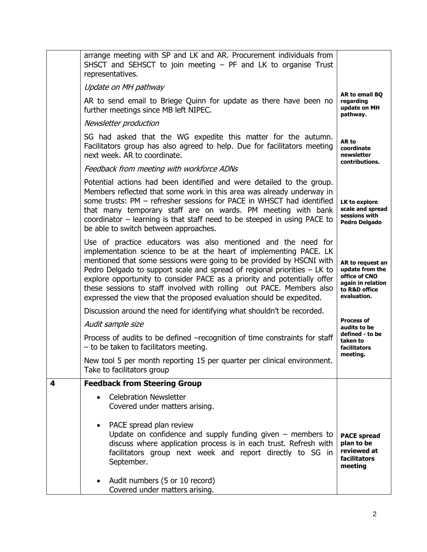|   | arrange meeting with SP and LK and AR. Procurement individuals from<br>SHSCT and SEHSCT to join meeting - PF and LK to organise Trust<br>representatives.                                                                                                                                                                                                                                                                                                                                                             |                                                                                                           |
|---|-----------------------------------------------------------------------------------------------------------------------------------------------------------------------------------------------------------------------------------------------------------------------------------------------------------------------------------------------------------------------------------------------------------------------------------------------------------------------------------------------------------------------|-----------------------------------------------------------------------------------------------------------|
|   | Update on MH pathway                                                                                                                                                                                                                                                                                                                                                                                                                                                                                                  |                                                                                                           |
|   | AR to send email to Briege Quinn for update as there have been no<br>further meetings since MB left NIPEC.                                                                                                                                                                                                                                                                                                                                                                                                            | AR to email BO<br>regarding<br>update on MH<br>pathway.                                                   |
|   | Newsletter production                                                                                                                                                                                                                                                                                                                                                                                                                                                                                                 |                                                                                                           |
|   | SG had asked that the WG expedite this matter for the autumn.<br>Facilitators group has also agreed to help. Due for facilitators meeting<br>next week. AR to coordinate.                                                                                                                                                                                                                                                                                                                                             | AR to<br>coordinate<br>newsletter<br>contributions.                                                       |
|   | Feedback from meeting with workforce ADNs                                                                                                                                                                                                                                                                                                                                                                                                                                                                             |                                                                                                           |
|   | Potential actions had been identified and were detailed to the group.<br>Members reflected that some work in this area was already underway in<br>some trusts: PM - refresher sessions for PACE in WHSCT had identified<br>that many temporary staff are on wards. PM meeting with bank<br>coordinator - learning is that staff need to be steeped in using PACE to<br>be able to switch between approaches.                                                                                                          | LK to explore<br>scale and spread<br>sessions with<br><b>Pedro Delgado</b>                                |
|   | Use of practice educators was also mentioned and the need for<br>implementation science to be at the heart of implementing PACE. LK<br>mentioned that some sessions were going to be provided by HSCNI with<br>Pedro Delgado to support scale and spread of regional priorities $-$ LK to<br>explore opportunity to consider PACE as a priority and potentially offer<br>these sessions to staff involved with rolling out PACE. Members also<br>expressed the view that the proposed evaluation should be expedited. | AR to request an<br>update from the<br>office of CNO<br>again in relation<br>to R&D office<br>evaluation. |
|   | Discussion around the need for identifying what shouldn't be recorded.                                                                                                                                                                                                                                                                                                                                                                                                                                                |                                                                                                           |
|   | Audit sample size                                                                                                                                                                                                                                                                                                                                                                                                                                                                                                     | <b>Process of</b><br>audits to be                                                                         |
|   | Process of audits to be defined -recognition of time constraints for staff<br>- to be taken to facilitators meeting.                                                                                                                                                                                                                                                                                                                                                                                                  | defined - to be<br>taken to<br><b>facilitators</b>                                                        |
|   | New tool 5 per month reporting 15 per quarter per clinical environment.<br>Take to facilitators group                                                                                                                                                                                                                                                                                                                                                                                                                 | meeting.                                                                                                  |
| 4 | <b>Feedback from Steering Group</b>                                                                                                                                                                                                                                                                                                                                                                                                                                                                                   |                                                                                                           |
|   | <b>Celebration Newsletter</b><br>Covered under matters arising.                                                                                                                                                                                                                                                                                                                                                                                                                                                       |                                                                                                           |
|   | PACE spread plan review<br>$\bullet$<br>Update on confidence and supply funding given $-$ members to<br>discuss where application process is in each trust. Refresh with<br>facilitators group next week and report directly to SG in<br>September.                                                                                                                                                                                                                                                                   | <b>PACE spread</b><br>plan to be<br>reviewed at<br>facilitators<br>meeting                                |
|   | Audit numbers (5 or 10 record)<br>$\bullet$<br>Covered under matters arising.                                                                                                                                                                                                                                                                                                                                                                                                                                         |                                                                                                           |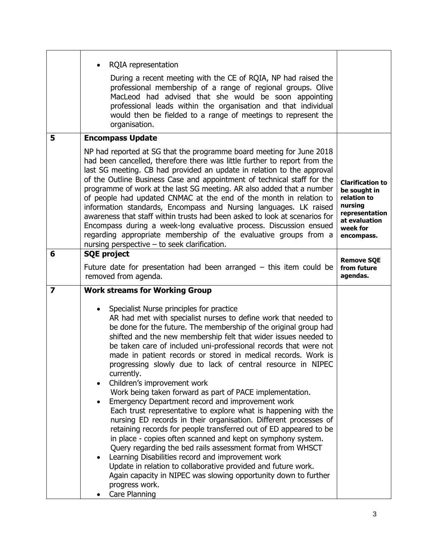|                         | <b>RQIA</b> representation<br>During a recent meeting with the CE of RQIA, NP had raised the<br>professional membership of a range of regional groups. Olive<br>MacLeod had advised that she would be soon appointing<br>professional leads within the organisation and that individual<br>would then be fielded to a range of meetings to represent the<br>organisation.                                                                                                                                                                                                                                                                                                                                                                                                                                                                                                                                                                                                                                                                                                                                                                                                                                                                       |                                                                                                      |
|-------------------------|-------------------------------------------------------------------------------------------------------------------------------------------------------------------------------------------------------------------------------------------------------------------------------------------------------------------------------------------------------------------------------------------------------------------------------------------------------------------------------------------------------------------------------------------------------------------------------------------------------------------------------------------------------------------------------------------------------------------------------------------------------------------------------------------------------------------------------------------------------------------------------------------------------------------------------------------------------------------------------------------------------------------------------------------------------------------------------------------------------------------------------------------------------------------------------------------------------------------------------------------------|------------------------------------------------------------------------------------------------------|
| 5                       | <b>Encompass Update</b><br>NP had reported at SG that the programme board meeting for June 2018<br>had been cancelled, therefore there was little further to report from the<br>last SG meeting. CB had provided an update in relation to the approval<br>of the Outline Business Case and appointment of technical staff for the<br>programme of work at the last SG meeting. AR also added that a number<br>of people had updated CNMAC at the end of the month in relation to<br>information standards, Encompass and Nursing languages. LK raised<br>awareness that staff within trusts had been asked to look at scenarios for                                                                                                                                                                                                                                                                                                                                                                                                                                                                                                                                                                                                             | <b>Clarification to</b><br>be sought in<br>relation to<br>nursing<br>representation<br>at evaluation |
| 6                       | Encompass during a week-long evaluative process. Discussion ensued<br>regarding appropriate membership of the evaluative groups from a<br>nursing perspective $-$ to seek clarification.<br><b>SQE project</b>                                                                                                                                                                                                                                                                                                                                                                                                                                                                                                                                                                                                                                                                                                                                                                                                                                                                                                                                                                                                                                  | week for<br>encompass.<br><b>Remove SQE</b>                                                          |
|                         | Future date for presentation had been arranged $-$ this item could be<br>removed from agenda.                                                                                                                                                                                                                                                                                                                                                                                                                                                                                                                                                                                                                                                                                                                                                                                                                                                                                                                                                                                                                                                                                                                                                   | from future<br>agendas.                                                                              |
| $\overline{\mathbf{z}}$ | <b>Work streams for Working Group</b><br>Specialist Nurse principles for practice<br>$\bullet$<br>AR had met with specialist nurses to define work that needed to<br>be done for the future. The membership of the original group had<br>shifted and the new membership felt that wider issues needed to<br>be taken care of included uni-professional records that were not<br>made in patient records or stored in medical records. Work is<br>progressing slowly due to lack of central resource in NIPEC<br>currently.<br>Children's improvement work<br>Work being taken forward as part of PACE implementation.<br>Emergency Department record and improvement work<br>Each trust representative to explore what is happening with the<br>nursing ED records in their organisation. Different processes of<br>retaining records for people transferred out of ED appeared to be<br>in place - copies often scanned and kept on symphony system.<br>Query regarding the bed rails assessment format from WHSCT<br>Learning Disabilities record and improvement work<br>Update in relation to collaborative provided and future work.<br>Again capacity in NIPEC was slowing opportunity down to further<br>progress work.<br>Care Planning |                                                                                                      |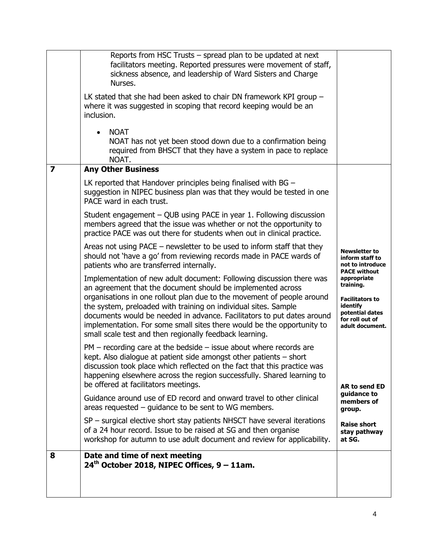|                         | Reports from HSC Trusts – spread plan to be updated at next<br>facilitators meeting. Reported pressures were movement of staff,<br>sickness absence, and leadership of Ward Sisters and Charge<br>Nurses.<br>LK stated that she had been asked to chair DN framework KPI group $-$<br>where it was suggested in scoping that record keeping would be an<br>inclusion.<br><b>NOAT</b><br>$\bullet$ |                                                                                    |
|-------------------------|---------------------------------------------------------------------------------------------------------------------------------------------------------------------------------------------------------------------------------------------------------------------------------------------------------------------------------------------------------------------------------------------------|------------------------------------------------------------------------------------|
|                         | NOAT has not yet been stood down due to a confirmation being<br>required from BHSCT that they have a system in pace to replace<br>NOAT.                                                                                                                                                                                                                                                           |                                                                                    |
| $\overline{\mathbf{z}}$ | <b>Any Other Business</b>                                                                                                                                                                                                                                                                                                                                                                         |                                                                                    |
|                         | LK reported that Handover principles being finalised with BG -<br>suggestion in NIPEC business plan was that they would be tested in one<br>PACE ward in each trust.                                                                                                                                                                                                                              |                                                                                    |
|                         | Student engagement – QUB using PACE in year 1. Following discussion<br>members agreed that the issue was whether or not the opportunity to<br>practice PACE was out there for students when out in clinical practice.                                                                                                                                                                             |                                                                                    |
|                         | Areas not using PACE - newsletter to be used to inform staff that they<br>should not 'have a go' from reviewing records made in PACE wards of<br>patients who are transferred internally.                                                                                                                                                                                                         | <b>Newsletter to</b><br>inform staff to<br>not to introduce<br><b>PACE without</b> |
|                         | Implementation of new adult document: Following discussion there was<br>an agreement that the document should be implemented across<br>organisations in one rollout plan due to the movement of people around                                                                                                                                                                                     | appropriate<br>training.<br><b>Facilitators to</b>                                 |
|                         | the system, preloaded with training on individual sites. Sample<br>documents would be needed in advance. Facilitators to put dates around<br>implementation. For some small sites there would be the opportunity to<br>small scale test and then regionally feedback learning.                                                                                                                    | identify<br>potential dates<br>for roll out of<br>adult document.                  |
|                         | $PM$ – recording care at the bedside – issue about where records are<br>kept. Also dialogue at patient side amongst other patients $-$ short<br>discussion took place which reflected on the fact that this practice was<br>happening elsewhere across the region successfully. Shared learning to<br>be offered at facilitators meetings.                                                        | AR to send ED                                                                      |
|                         | Guidance around use of ED record and onward travel to other clinical<br>areas requested $-$ guidance to be sent to WG members.                                                                                                                                                                                                                                                                    | quidance to<br>members of<br>group.                                                |
|                         | SP – surgical elective short stay patients NHSCT have several iterations<br>of a 24 hour record. Issue to be raised at SG and then organise<br>workshop for autumn to use adult document and review for applicability.                                                                                                                                                                            | <b>Raise short</b><br>stay pathway<br>at SG.                                       |
| 8                       | Date and time of next meeting<br>$24th$ October 2018, NIPEC Offices, 9 – 11am.                                                                                                                                                                                                                                                                                                                    |                                                                                    |
|                         |                                                                                                                                                                                                                                                                                                                                                                                                   |                                                                                    |